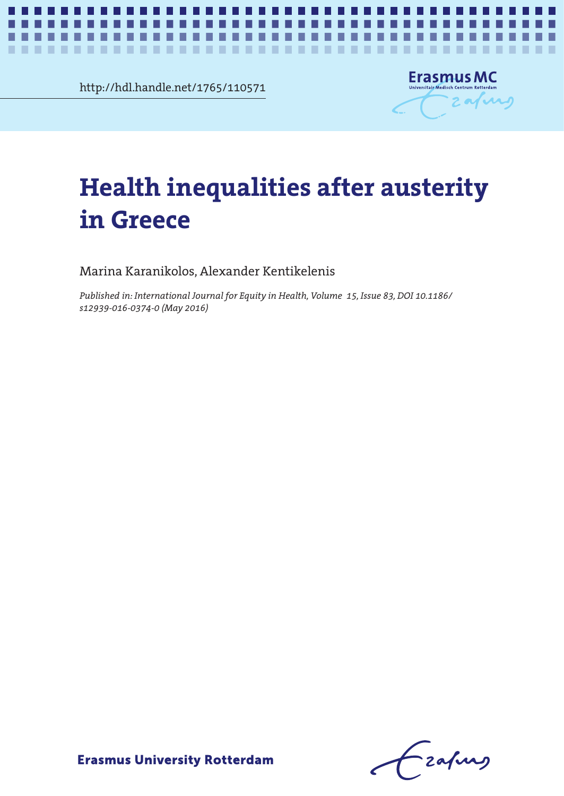http://hdl.handle.net/1765/110571



# Health inequalities after austerity in Greece **Health inequalities after austerity in Greece**

*Health inequalities after austerity in Greece* **1**

Marina Karanikolos, Alexander Kentikelenis

*Published in: International Journal for Equity in Health, Volume 15, Issue 83, DOI 10.1186/ s12939-016-0374-0 (May 2016)*

Czafing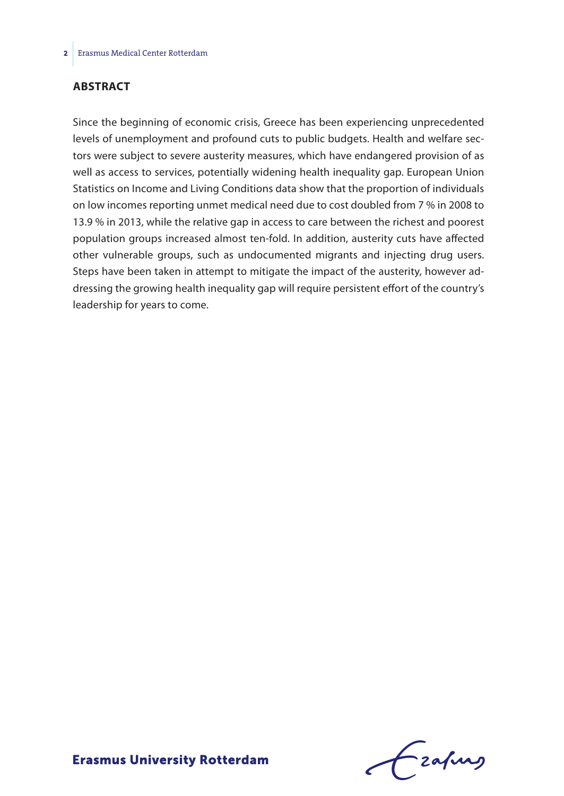## **Abstract**

Since the beginning of economic crisis, Greece has been experiencing unprecedented levels of unemployment and profound cuts to public budgets. Health and welfare sectors were subject to severe austerity measures, which have endangered provision of as well as access to services, potentially widening health inequality gap. European Union Statistics on Income and Living Conditions data show that the proportion of individuals on low incomes reporting unmet medical need due to cost doubled from 7 % in 2008 to 13.9 % in 2013, while the relative gap in access to care between the richest and poorest population groups increased almost ten-fold. In addition, austerity cuts have affected other vulnerable groups, such as undocumented migrants and injecting drug users. Steps have been taken in attempt to mitigate the impact of the austerity, however addressing the growing health inequality gap will require persistent effort of the country's leadership for years to come.

Frahing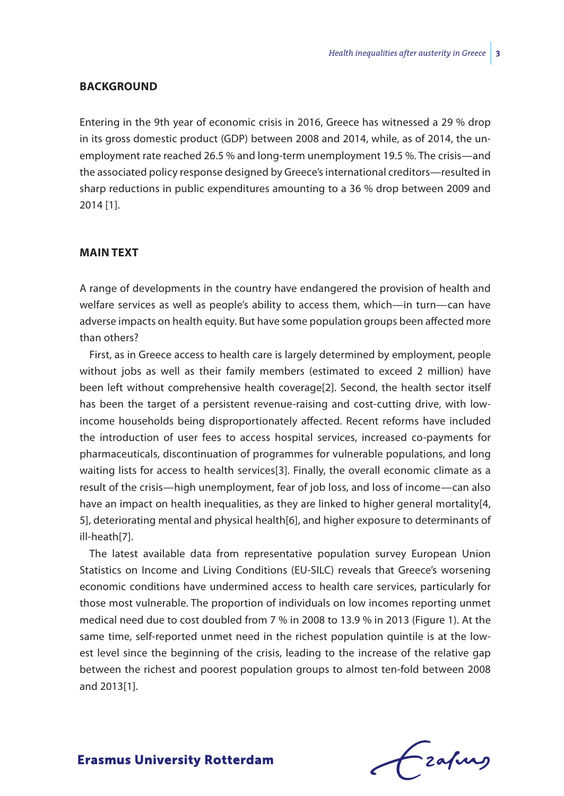### **Background**

Entering in the 9th year of economic crisis in 2016, Greece has witnessed a 29 % drop in its gross domestic product (GDP) between 2008 and 2014, while, as of 2014, the unemployment rate reached 26.5 % and long-term unemployment 19.5 %. The crisis—and the associated policy response designed by Greece's international creditors—resulted in sharp reductions in public expenditures amounting to a 36 % drop between 2009 and 2014 [1].

## **Main text**

A range of developments in the country have endangered the provision of health and welfare services as well as people's ability to access them, which—in turn—can have adverse impacts on health equity. But have some population groups been affected more than others?

First, as in Greece access to health care is largely determined by employment, people without jobs as well as their family members (estimated to exceed 2 million) have been left without comprehensive health coverage[2]. Second, the health sector itself has been the target of a persistent revenue-raising and cost-cutting drive, with lowincome households being disproportionately affected. Recent reforms have included the introduction of user fees to access hospital services, increased co-payments for pharmaceuticals, discontinuation of programmes for vulnerable populations, and long waiting lists for access to health services[3]. Finally, the overall economic climate as a result of the crisis—high unemployment, fear of job loss, and loss of income—can also have an impact on health inequalities, as they are linked to higher general mortality[4, 5], deteriorating mental and physical health[6], and higher exposure to determinants of ill-heath[7].

The latest available data from representative population survey European Union Statistics on Income and Living Conditions (EU-SILC) reveals that Greece's worsening economic conditions have undermined access to health care services, particularly for those most vulnerable. The proportion of individuals on low incomes reporting unmet medical need due to cost doubled from 7 % in 2008 to 13.9 % in 2013 (Figure 1). At the same time, self-reported unmet need in the richest population quintile is at the lowest level since the beginning of the crisis, leading to the increase of the relative gap between the richest and poorest population groups to almost ten-fold between 2008 and 2013[1].

Frahing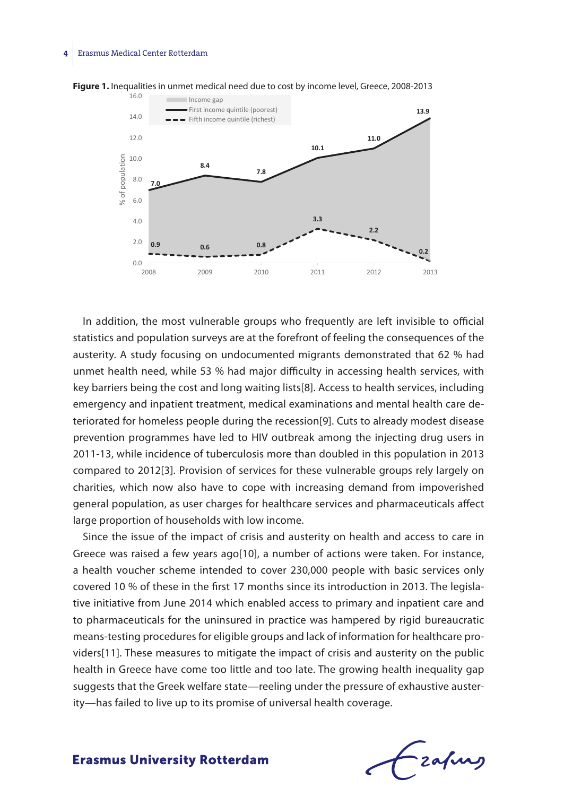## **4** Erasmus Medical Center Rotterdam



**Figure 1.** Inequalities in unmet medical need due to cost by income level, Greece, 2008-2013

In addition, the most vulnerable groups who frequently are left invisible to official statistics and population surveys are at the forefront of feeling the consequences of the austerity. A study focusing on undocumented migrants demonstrated that 62 % had unmet health need, while 53 % had major difficulty in accessing health services, with key barriers being the cost and long waiting lists[8]. Access to health services, including emergency and inpatient treatment, medical examinations and mental health care deteriorated for homeless people during the recession[9]. Cuts to already modest disease prevention programmes have led to HIV outbreak among the injecting drug users in 2011-13, while incidence of tuberculosis more than doubled in this population in 2013 compared to 2012[3]. Provision of services for these vulnerable groups rely largely on charities, which now also have to cope with increasing demand from impoverished general population, as user charges for healthcare services and pharmaceuticals affect large proportion of households with low income.

Since the issue of the impact of crisis and austerity on health and access to care in Greece was raised a few years ago[10], a number of actions were taken. For instance, a health voucher scheme intended to cover 230,000 people with basic services only covered 10 % of these in the first 17 months since its introduction in 2013. The legislative initiative from June 2014 which enabled access to primary and inpatient care and to pharmaceuticals for the uninsured in practice was hampered by rigid bureaucratic means-testing procedures for eligible groups and lack of information for healthcare providers[11]. These measures to mitigate the impact of crisis and austerity on the public health in Greece have come too little and too late. The growing health inequality gap suggests that the Greek welfare state—reeling under the pressure of exhaustive austerity—has failed to live up to its promise of universal health coverage.

- zafung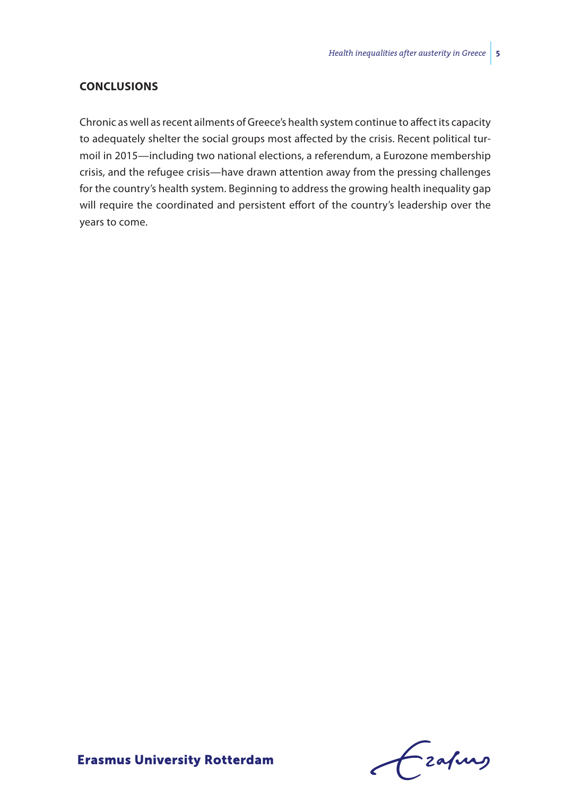## **Conclusions**

Chronic as well as recent ailments of Greece's health system continue to affect its capacity to adequately shelter the social groups most affected by the crisis. Recent political turmoil in 2015—including two national elections, a referendum, a Eurozone membership crisis, and the refugee crisis—have drawn attention away from the pressing challenges for the country's health system. Beginning to address the growing health inequality gap will require the coordinated and persistent effort of the country's leadership over the years to come.